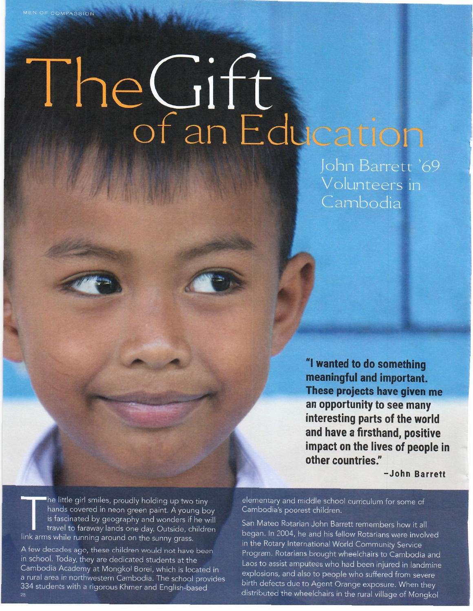## The Gift

John Barrett '69 Volunteers in Cambodia

"I wanted to do something meaningful and important. These projects have given me an opportunity to see many interesting parts of the world and have a firsthand, positive impact on the lives of people in other countries."

-John Barrett

The little girl smiles, proudly holding up two tiny hands covered in neon green paint. A young boy is fascinated by geography and wonders if he will travel to faraway lands one day. Outside, children link arms while running around on the sunny grass.

A few decades ago, these children would not have been in school. Today, they are dedicated students at the Cambodia Academy at Mongkol Borei, which is located in a rural area in northwestern Cambodia. The school provides 334 students with a rigorous Khmer and English-based

elementary and middle school curriculum for some of Cambodia's poorest children.

San Mateo Rotarian John Barrett remembers how it all began. In 2004, he and his fellow Rotarians were involved in the Rotary International World Community Service Program. Rotarians brought wheelchairs to Cambodia and Laos to assist amputees who had been injured in landmine explosions, and also to people who suffered from severe birth defects due to Agent Orange exposure. When they distributed the wheelchairs in the rural village of Mongkol